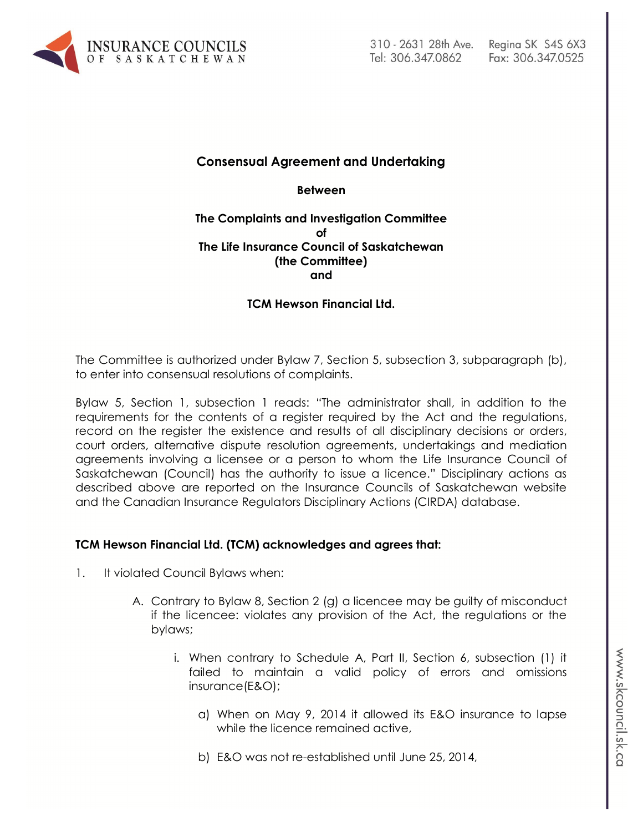

# **Consensual Agreement and Undertaking**

**Between**

#### **The Complaints and Investigation Committee of The Life Insurance Council of Saskatchewan (the Committee) and**

### **TCM Hewson Financial Ltd.**

The Committee is authorized under Bylaw 7, Section 5, subsection 3, subparagraph (b), to enter into consensual resolutions of complaints.

Bylaw 5, Section 1, subsection 1 reads: "The administrator shall, in addition to the requirements for the contents of a register required by the Act and the regulations, record on the register the existence and results of all disciplinary decisions or orders, court orders, alternative dispute resolution agreements, undertakings and mediation agreements involving a licensee or a person to whom the Life Insurance Council of Saskatchewan (Council) has the authority to issue a licence." Disciplinary actions as described above are reported on the Insurance Councils of Saskatchewan website and the Canadian Insurance Regulators Disciplinary Actions (CIRDA) database.

### **TCM Hewson Financial Ltd. (TCM) acknowledges and agrees that:**

- 1. It violated Council Bylaws when:
	- A. Contrary to Bylaw 8, Section 2 (g) a licencee may be guilty of misconduct if the licencee: violates any provision of the Act, the regulations or the bylaws;
		- i. When contrary to Schedule A, Part II, Section 6, subsection (1) it failed to maintain a valid policy of errors and omissions insurance(E&O);
			- a) When on May 9, 2014 it allowed its E&O insurance to lapse while the licence remained active,
			- b) E&O was not re-established until June 25, 2014,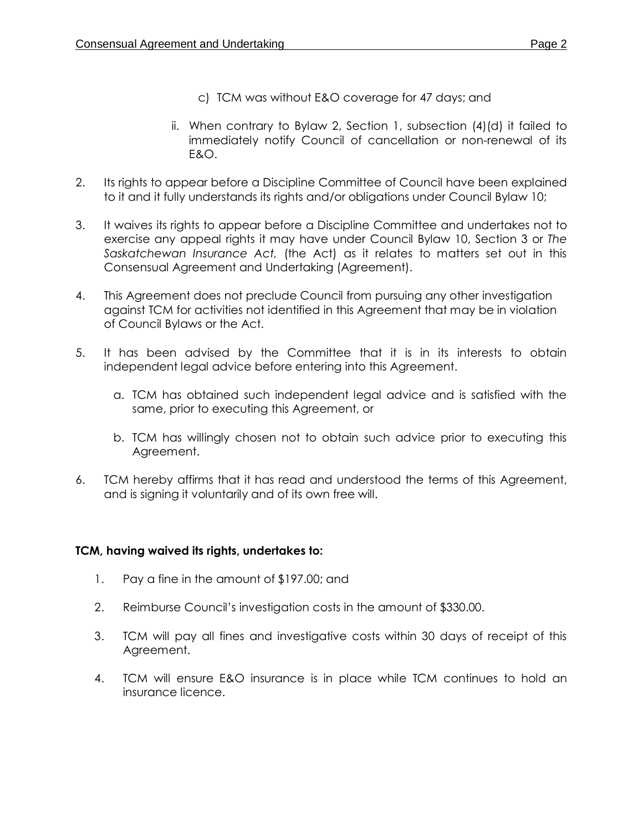- c) TCM was without E&O coverage for 47 days; and
- ii. When contrary to Bylaw 2, Section 1, subsection (4)(d) it failed to immediately notify Council of cancellation or non-renewal of its E&O.
- 2. Its rights to appear before a Discipline Committee of Council have been explained to it and it fully understands its rights and/or obligations under Council Bylaw 10;
- 3. It waives its rights to appear before a Discipline Committee and undertakes not to exercise any appeal rights it may have under Council Bylaw 10, Section 3 or *The Saskatchewan Insurance Act,* (the Act) as it relates to matters set out in this Consensual Agreement and Undertaking (Agreement).
- 4. This Agreement does not preclude Council from pursuing any other investigation against TCM for activities not identified in this Agreement that may be in violation of Council Bylaws or the Act.
- 5. It has been advised by the Committee that it is in its interests to obtain independent legal advice before entering into this Agreement.
	- a. TCM has obtained such independent legal advice and is satisfied with the same, prior to executing this Agreement, or
	- b. TCM has willingly chosen not to obtain such advice prior to executing this Agreement.
- 6. TCM hereby affirms that it has read and understood the terms of this Agreement, and is signing it voluntarily and of its own free will.

## **TCM, having waived its rights, undertakes to:**

- 1. Pay a fine in the amount of \$197.00; and
- 2. Reimburse Council's investigation costs in the amount of \$330.00.
- 3. TCM will pay all fines and investigative costs within 30 days of receipt of this Agreement.
- 4. TCM will ensure E&O insurance is in place while TCM continues to hold an insurance licence.